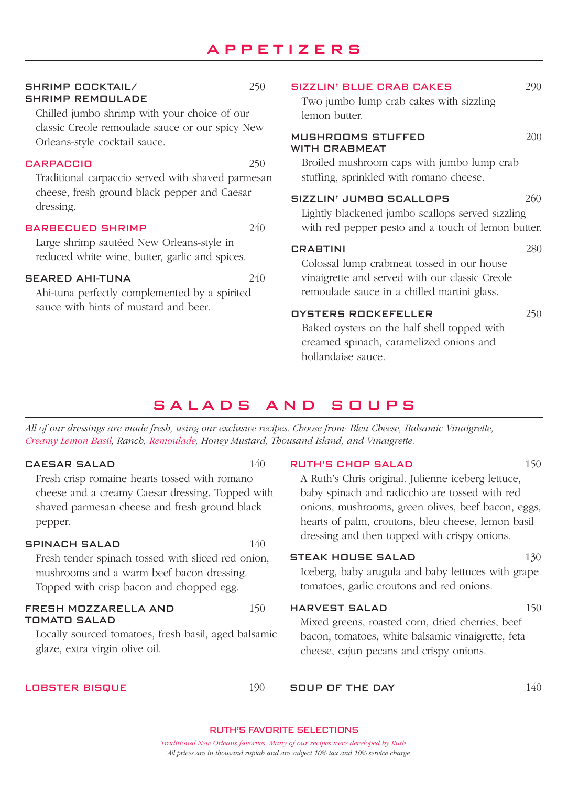# APPETIZERS

#### SHRIMP COCKTAIL/ 250 SHRIMP REMOULADE

Chilled jumbo shrimp with your choice of our classic Creole remoulade sauce or our spicy New Orleans-style cocktail sauce.

#### CARPACCIO 250

Traditional carpaccio served with shaved parmesan cheese, fresh ground black pepper and Caesar dressing.

#### BARBECUED SHRIMP 240

Large shrimp sautéed New Orleans-style in reduced white wine, butter, garlic and spices.

#### SEARED AHI-TUNA 240

Ahi-tuna perfectly complemented by a spirited sauce with hints of mustard and beer.

# SIZZLIN' BLUE CRAB CAKES 290 Two jumbo lump crab cakes with sizzling lemon butter.

#### $MII$ SHROOMS STUFFED  $200$ WITH CRABMEAT

Broiled mushroom caps with jumbo lump crab stuffing, sprinkled with romano cheese.

## SIZZLIN' JUMBO SCALLOPS 260

Lightly blackened jumbo scallops served sizzling with red pepper pesto and a touch of lemon butter.

#### CRABTINI 280

Colossal lump crabmeat tossed in our house vinaigrette and served with our classic Creole remoulade sauce in a chilled martini glass.

#### OYSTERS ROCKEFELLER 250

Baked oysters on the half shell topped with creamed spinach, caramelized onions and hollandaise sauce.

# SALADS AND SOUPS

*All of our dressings are made fresh, using our exclusive recipes. Choose from: Bleu Cheese, Balsamic Vinaigrette, Creamy Lemon Basil, Ranch, Remoulade, Honey Mustard, Thousand Island, and Vinaigrette.*

#### CAESAR SALAD 140

Fresh crisp romaine hearts tossed with romano cheese and a creamy Caesar dressing. Topped with shaved parmesan cheese and fresh ground black pepper.

#### SPINACH SALAD 140

Fresh tender spinach tossed with sliced red onion, mushrooms and a warm beef bacon dressing. Topped with crisp bacon and chopped egg.

#### FRESH MOZZARELLA AND 150 TOMATO SALAD

Locally sourced tomatoes, fresh basil, aged balsamic glaze, extra virgin olive oil.

#### LOBSTER BISQUE 190

RUTH'S CHOP SALAD 150 A Ruth's Chris original. Julienne iceberg lettuce, baby spinach and radicchio are tossed with red

onions, mushrooms, green olives, beef bacon, eggs, hearts of palm, croutons, bleu cheese, lemon basil dressing and then topped with crispy onions.

### STEAK HOUSE SALAD 130

Iceberg, baby arugula and baby lettuces with grape tomatoes, garlic croutons and red onions.

#### HARVEST SALAD 150

Mixed greens, roasted corn, dried cherries, beef bacon, tomatoes, white balsamic vinaigrette, feta cheese, cajun pecans and crispy onions.

SOUP OF THE DAY 140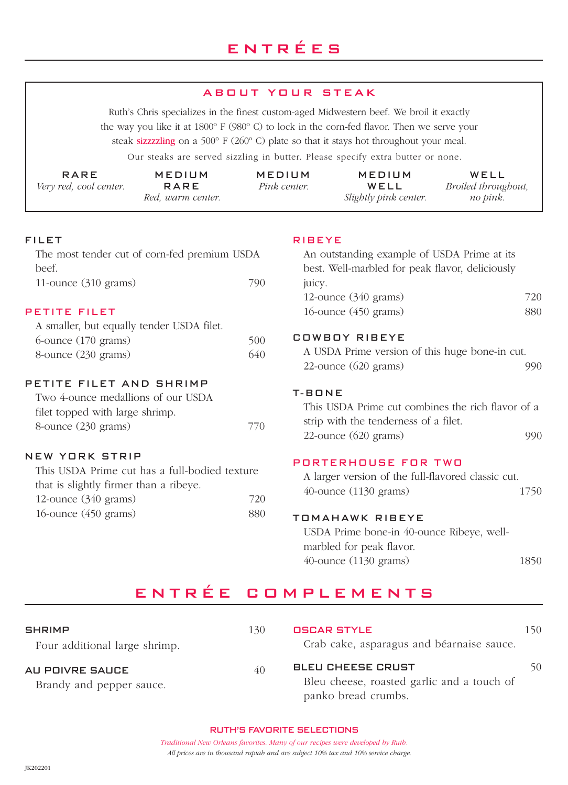#### ABOUT YOUR STEAK

Ruth's Chris specializes in the finest custom-aged Midwestern beef. We broil it exactly the way you like it at 1800º F (980º C) to lock in the corn-fed flavor. Then we serve your steak sizzzzling on a 500° F (260º C) plate so that it stays hot throughout your meal.

Our steaks are served sizzling in butter. Please specify extra butter or none.

| <b>RARE</b><br>Very red, cool center.                                                                                   | MEDIUM<br>RARE<br>Red, warm center.           |            | <b>MEDIUM</b><br>Pink center. | MEDIUM<br>WELL<br>Slightly pink center.                                                                                                                                                                                                     | WELL<br>Broiled throughout,<br>no pink.                  |
|-------------------------------------------------------------------------------------------------------------------------|-----------------------------------------------|------------|-------------------------------|---------------------------------------------------------------------------------------------------------------------------------------------------------------------------------------------------------------------------------------------|----------------------------------------------------------|
| <b>FILET</b>                                                                                                            |                                               |            | <b>RIBEYE</b>                 |                                                                                                                                                                                                                                             |                                                          |
| beef.                                                                                                                   | The most tender cut of corn-fed premium USDA  |            |                               | An outstanding example of USDA Prime at its<br>best. Well-marbled for peak flavor, deliciously                                                                                                                                              |                                                          |
| 11-ounce (310 grams)                                                                                                    |                                               | 790        | juicy.                        | 12-ounce (340 grams)                                                                                                                                                                                                                        | 720                                                      |
| PETITE FILET<br>A smaller, but equally tender USDA filet.                                                               |                                               |            |                               | 16-ounce $(450 \text{ grams})$                                                                                                                                                                                                              | 880                                                      |
| 6-ounce (170 grams)<br>8-ounce (230 grams)                                                                              |                                               | 500<br>640 |                               | <b>COWBOY RIBEYE</b><br>A USDA Prime version of this huge bone-in cut.<br>$22$ -ounce $(620 \text{ grams})$                                                                                                                                 | 990                                                      |
| PETITE FILET AND SHRIMP<br>Two 4-ounce medallions of our USDA<br>filet topped with large shrimp.<br>8-ounce (230 grams) |                                               | 770        | T-BONE                        | strip with the tenderness of a filet.<br>$22$ -ounce $(620 \text{ grams})$                                                                                                                                                                  | This USDA Prime cut combines the rich flavor of a<br>990 |
| <b>NEW YORK STRIP</b><br>that is slightly firmer than a ribeye.<br>12-ounce (340 grams)<br>16-ounce (450 grams)         | This USDA Prime cut has a full-bodied texture | 720<br>880 |                               | PORTERHOUSE FOR TWO<br>A larger version of the full-flavored classic cut.<br>$40$ -ounce $(1130 \text{ grams})$<br><b>TOMAHAWK RIBEYE</b><br>USDA Prime bone-in 40-ounce Ribeye, well-<br>marbled for peak flavor.<br>40-ounce (1130 grams) | 1750<br>1850                                             |
|                                                                                                                         |                                               |            |                               |                                                                                                                                                                                                                                             |                                                          |

# ENTRÉE COMPLEMENTS

| <b>SHRIMP</b><br>Four additional large shrimp. | 130 | <b>OSCAR STYLE</b><br>Crab cake, asparagus and béarnaise sauce.                               | 150 |
|------------------------------------------------|-----|-----------------------------------------------------------------------------------------------|-----|
| AU POIVRE SAUCE<br>Brandy and pepper sauce.    | 40  | <b>BLEU CHEESE CRUST</b><br>Bleu cheese, roasted garlic and a touch of<br>panko bread crumbs. | 50  |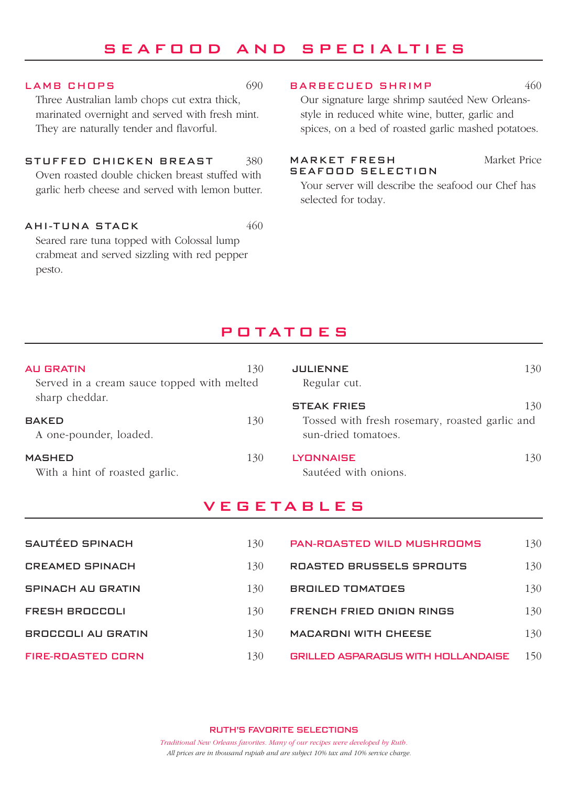# SEAFOOD AND SPECIALTIES

#### LAMB CHOPS 690

Three Australian lamb chops cut extra thick, marinated overnight and served with fresh mint. They are naturally tender and flavorful.

STUFFED CHICKEN BREAST 380 Oven roasted double chicken breast stuffed with garlic herb cheese and served with lemon butter.

AHI-TUNA STACK 460 Seared rare tuna topped with Colossal lump crabmeat and served sizzling with red pepper pesto.

#### BARBECUED SHRIMP 460

Our signature large shrimp sautéed New Orleansstyle in reduced white wine, butter, garlic and spices, on a bed of roasted garlic mashed potatoes.

MARKET FRESH Market Price

SEAFOOD SELECTION Your server will describe the seafood our Chef has selected for today.

# POTATOES

| 130<br><b>AU GRATIN</b><br>Served in a cream sauce topped with melted |     | <b>JULIENNE</b><br>Regular cut.                                                             | 130 |
|-----------------------------------------------------------------------|-----|---------------------------------------------------------------------------------------------|-----|
| sharp cheddar.<br><b>BAKED</b><br>A one-pounder, loaded.              | 130 | <b>STEAK FRIES</b><br>Tossed with fresh rosemary, roasted garlic and<br>sun-dried tomatoes. | 130 |
| <b>MASHED</b><br>With a hint of roasted garlic.                       | 130 | <b>LYONNAISE</b><br>Sautéed with onions.                                                    | 130 |

# **VEGETABLES**

| SAUTÉED SPINACH          | 130 | <b>PAN-ROASTED WILD MUSHROOMS</b>         | 130 |
|--------------------------|-----|-------------------------------------------|-----|
| <b>CREAMED SPINACH</b>   | 130 | ROASTED BRUSSELS SPROUTS                  | 130 |
| <b>SPINACH AU GRATIN</b> | 130 | <b>BROILED TOMATOES</b>                   | 130 |
| FRESH BROCCOLI           | 130 | FRENCH FRIED ONION RINGS                  | 130 |
| BROCCOLI AU GRATIN       | 130 | <b>MACARONI WITH CHEESE</b>               | 130 |
| <b>FIRE-ROASTED CORN</b> | 130 | <b>GRILLED ASPARAGUS WITH HOLLANDAISE</b> | 150 |